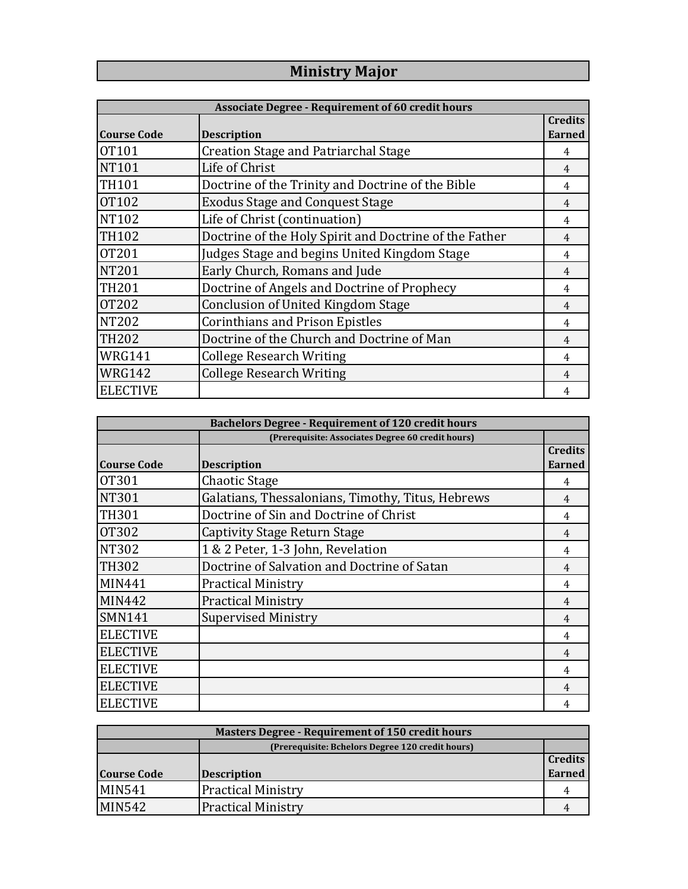## **Ministry Major**

| <b>Associate Degree - Requirement of 60 credit hours</b> |                                                        |                                 |
|----------------------------------------------------------|--------------------------------------------------------|---------------------------------|
| <b>Course Code</b>                                       | <b>Description</b>                                     | <b>Credits</b><br><b>Earned</b> |
| OT101                                                    | <b>Creation Stage and Patriarchal Stage</b>            | 4                               |
| <b>NT101</b>                                             | Life of Christ                                         | $\overline{4}$                  |
| <b>TH101</b>                                             | Doctrine of the Trinity and Doctrine of the Bible      | 4                               |
| <b>OT102</b>                                             | <b>Exodus Stage and Conquest Stage</b>                 | 4                               |
| NT102                                                    | Life of Christ (continuation)                          | 4                               |
| <b>TH102</b>                                             | Doctrine of the Holy Spirit and Doctrine of the Father | 4                               |
| <b>OT201</b>                                             | Judges Stage and begins United Kingdom Stage           | 4                               |
| <b>NT201</b>                                             | Early Church, Romans and Jude                          | $\overline{4}$                  |
| <b>TH201</b>                                             | Doctrine of Angels and Doctrine of Prophecy            | 4                               |
| <b>OT202</b>                                             | <b>Conclusion of United Kingdom Stage</b>              | 4                               |
| <b>NT202</b>                                             | <b>Corinthians and Prison Epistles</b>                 | 4                               |
| <b>TH202</b>                                             | Doctrine of the Church and Doctrine of Man             | 4                               |
| WRG141                                                   | <b>College Research Writing</b>                        | 4                               |
| WRG142                                                   | <b>College Research Writing</b>                        | 4                               |
| <b>ELECTIVE</b>                                          |                                                        |                                 |

| <b>Bachelors Degree - Requirement of 120 credit hours</b> |                                                   |                                 |
|-----------------------------------------------------------|---------------------------------------------------|---------------------------------|
|                                                           | (Prerequisite: Associates Degree 60 credit hours) |                                 |
| <b>Course Code</b>                                        | <b>Description</b>                                | <b>Credits</b><br><b>Earned</b> |
| OT301                                                     | Chaotic Stage                                     | 4                               |
| <b>NT301</b>                                              | Galatians, Thessalonians, Timothy, Titus, Hebrews | 4                               |
| <b>TH301</b>                                              | Doctrine of Sin and Doctrine of Christ            | 4                               |
| <b>OT302</b>                                              | Captivity Stage Return Stage                      | 4                               |
| <b>NT302</b>                                              | 1 & 2 Peter, 1-3 John, Revelation                 | 4                               |
| <b>TH302</b>                                              | Doctrine of Salvation and Doctrine of Satan       | $\overline{4}$                  |
| <b>MIN441</b>                                             | <b>Practical Ministry</b>                         | 4                               |
| MIN442                                                    | <b>Practical Ministry</b>                         | 4                               |
| <b>SMN141</b>                                             | <b>Supervised Ministry</b>                        | 4                               |
| <b>ELECTIVE</b>                                           |                                                   | 4                               |
| <b>ELECTIVE</b>                                           |                                                   | 4                               |
| <b>ELECTIVE</b>                                           |                                                   | 4                               |
| <b>ELECTIVE</b>                                           |                                                   | 4                               |
| <b>ELECTIVE</b>                                           |                                                   | 4                               |

| <b>Masters Degree - Requirement of 150 credit hours</b> |                                                  |               |  |
|---------------------------------------------------------|--------------------------------------------------|---------------|--|
|                                                         | (Prerequisite: Bchelors Degree 120 credit hours) |               |  |
|                                                         |                                                  | Credits       |  |
| <b>Course Code</b>                                      | <b>Description</b>                               | <b>Earned</b> |  |
| <b>MIN541</b>                                           | <b>Practical Ministry</b>                        |               |  |
| <b>MIN542</b>                                           | <b>Practical Ministry</b>                        |               |  |